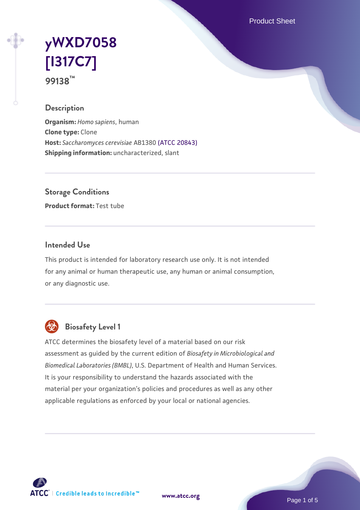Product Sheet

# **[yWXD7058](https://www.atcc.org/products/99138) [\[I317C7\]](https://www.atcc.org/products/99138) 99138™**

#### **Description**

**Organism:** *Homo sapiens*, human **Clone type:** Clone **Host:** *Saccharomyces cerevisiae* AB1380 [\(ATCC 20843\)](https://www.atcc.org/products/20843) **Shipping information:** uncharacterized, slant

**Storage Conditions**

**Product format:** Test tube

## **Intended Use**

This product is intended for laboratory research use only. It is not intended for any animal or human therapeutic use, any human or animal consumption, or any diagnostic use.



## **Biosafety Level 1**

ATCC determines the biosafety level of a material based on our risk assessment as guided by the current edition of *Biosafety in Microbiological and Biomedical Laboratories (BMBL)*, U.S. Department of Health and Human Services. It is your responsibility to understand the hazards associated with the material per your organization's policies and procedures as well as any other applicable regulations as enforced by your local or national agencies.

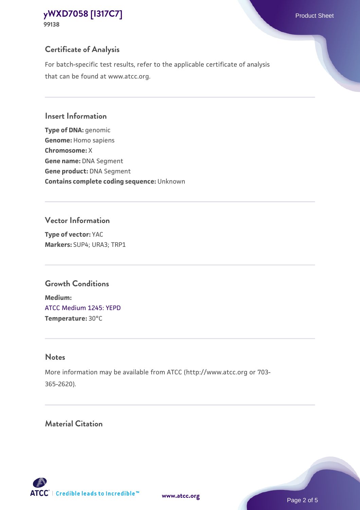## **Certificate of Analysis**

For batch-specific test results, refer to the applicable certificate of analysis that can be found at www.atcc.org.

#### **Insert Information**

**Type of DNA:** genomic **Genome:** Homo sapiens **Chromosome:** X **Gene name:** DNA Segment **Gene product:** DNA Segment **Contains complete coding sequence:** Unknown

#### **Vector Information**

**Type of vector:** YAC **Markers:** SUP4; URA3; TRP1

## **Growth Conditions**

**Medium:**  [ATCC Medium 1245: YEPD](https://www.atcc.org/-/media/product-assets/documents/microbial-media-formulations/1/2/4/5/atcc-medium-1245.pdf?rev=705ca55d1b6f490a808a965d5c072196) **Temperature:** 30°C

## **Notes**

More information may be available from ATCC (http://www.atcc.org or 703- 365-2620).

## **Material Citation**

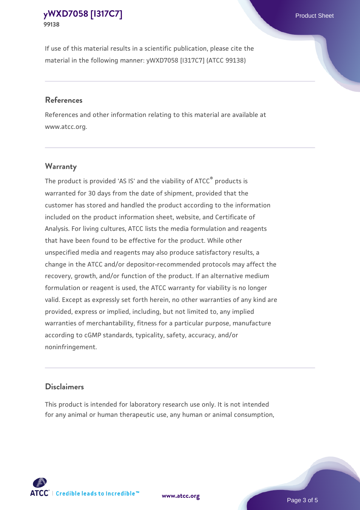If use of this material results in a scientific publication, please cite the material in the following manner: yWXD7058 [I317C7] (ATCC 99138)

#### **References**

References and other information relating to this material are available at www.atcc.org.

## **Warranty**

The product is provided 'AS IS' and the viability of  $ATCC<sup>®</sup>$  products is warranted for 30 days from the date of shipment, provided that the customer has stored and handled the product according to the information included on the product information sheet, website, and Certificate of Analysis. For living cultures, ATCC lists the media formulation and reagents that have been found to be effective for the product. While other unspecified media and reagents may also produce satisfactory results, a change in the ATCC and/or depositor-recommended protocols may affect the recovery, growth, and/or function of the product. If an alternative medium formulation or reagent is used, the ATCC warranty for viability is no longer valid. Except as expressly set forth herein, no other warranties of any kind are provided, express or implied, including, but not limited to, any implied warranties of merchantability, fitness for a particular purpose, manufacture according to cGMP standards, typicality, safety, accuracy, and/or noninfringement.

#### **Disclaimers**

This product is intended for laboratory research use only. It is not intended for any animal or human therapeutic use, any human or animal consumption,

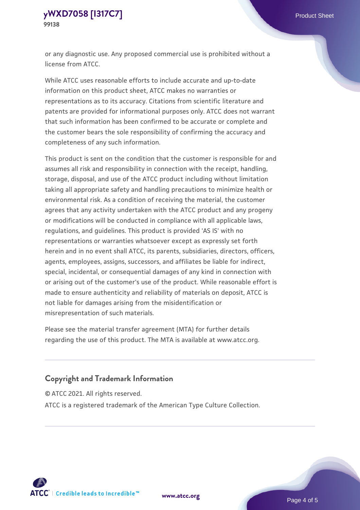or any diagnostic use. Any proposed commercial use is prohibited without a license from ATCC.

While ATCC uses reasonable efforts to include accurate and up-to-date information on this product sheet, ATCC makes no warranties or representations as to its accuracy. Citations from scientific literature and patents are provided for informational purposes only. ATCC does not warrant that such information has been confirmed to be accurate or complete and the customer bears the sole responsibility of confirming the accuracy and completeness of any such information.

This product is sent on the condition that the customer is responsible for and assumes all risk and responsibility in connection with the receipt, handling, storage, disposal, and use of the ATCC product including without limitation taking all appropriate safety and handling precautions to minimize health or environmental risk. As a condition of receiving the material, the customer agrees that any activity undertaken with the ATCC product and any progeny or modifications will be conducted in compliance with all applicable laws, regulations, and guidelines. This product is provided 'AS IS' with no representations or warranties whatsoever except as expressly set forth herein and in no event shall ATCC, its parents, subsidiaries, directors, officers, agents, employees, assigns, successors, and affiliates be liable for indirect, special, incidental, or consequential damages of any kind in connection with or arising out of the customer's use of the product. While reasonable effort is made to ensure authenticity and reliability of materials on deposit, ATCC is not liable for damages arising from the misidentification or misrepresentation of such materials.

Please see the material transfer agreement (MTA) for further details regarding the use of this product. The MTA is available at www.atcc.org.

## **Copyright and Trademark Information**

© ATCC 2021. All rights reserved.

ATCC is a registered trademark of the American Type Culture Collection.



**[www.atcc.org](http://www.atcc.org)**

Page 4 of 5